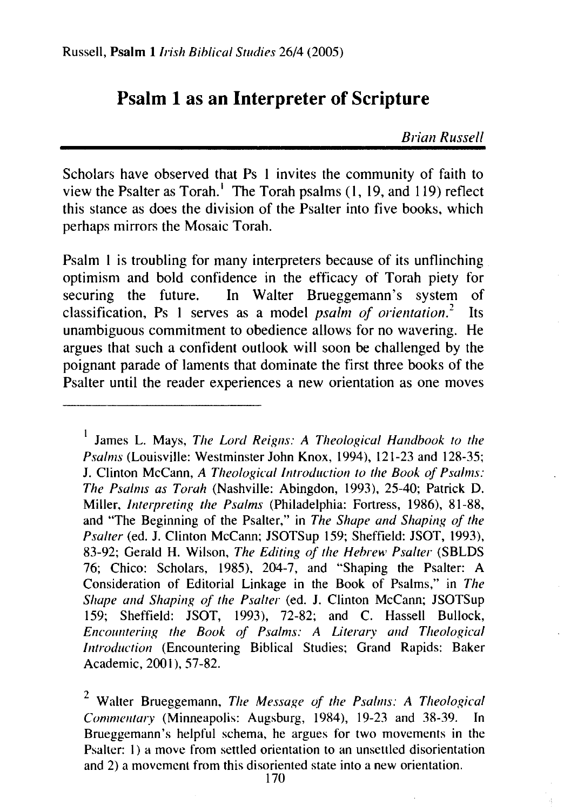# **Psalm 1 as an Interpreter of Scripture**

*Brian Russe/1* 

Scholars have observed that Ps 1 invites the community of faith to view the Psalter as Torah.<sup>1</sup> The Torah psalms  $(1, 19, 19)$  reflect this stance as does the division of the Psalter into five books, which perhaps mirrors the Mosaic Torah.

Psalm **1** is troubling for many interpreters because of its unflinching optimism and bold confidence in the efficacy of Torah piety for securing the future. In Walter Brueggemann's system of In Walter Brueggemann's system of<br>s as a model *psalm of orientation*.<sup>2</sup> Its classification, Ps 1 serves as a model *psalm of orientation*.<sup>2</sup> unambiguous commitment to obedience allows for no wavering. He argues that such a confident outlook will soon be challenged by the poignant parade of laments that dominate the first three books of the Psalter until the reader experiences a new orientation as one moves

<sup>1</sup> James L. Mays, *The Lord Reigns: A Theological Handbook to the Psalms* (Louisville: Westminster John Knox, 1994), 121-23 and 128-35; J. Clinton McCann, *A Theological Introduction to the Book of Psalms: The Psalms as Torah* (Nashville: Abingdon, 1993), 25-40; Patrick D. Miller, *Interpreting the Psalms* (Philadelphia: Fortress, 1986), 81-88, and "The Beginning of the Psalter," in *The Shape and Shaping of the Psalter* (ed. J. Clinton McCann; JSOTSup 159; Sheffield: JSOT, 1993), 83-92; Gerald H. Wilson, *The Editing of the Hebrew Psalter* (SBLDS 76; Chico: Scholars, 1985), 204-7, and "Shaping the Psalter: A Consideration of Editorial Linkage in the Book of Psalms," in *The Shape and Shaping of the Psalter* (ed. J. Clinton McCann; JSOTSup 159; Sheffield: JSOT, 1993), 72-82; and C. Hassell Bullock, *Encountering the Book of Psalms: A Literary and Theological Introduction* (Encountering Biblical Studies; Grand Rapids: Baker Academic, 2001), 57-82.

2 Waiter Brueggemann, *The Message of the Psalms: A Theological Commentary* (Minneapolis: Augsburg, 1984), 19-23 and 38-39. In Brueggemann's helpful schema, he argues for two movements in the Psalter: 1) a move from settled orientation to an unsettled disorientation and 2) a movement from this disoriented state into a new orientation.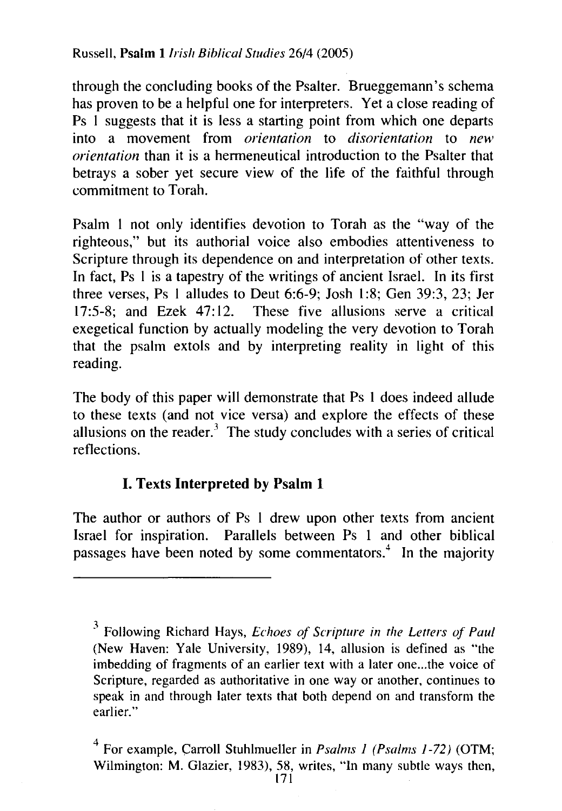through the concluding books of the Psalter. Brueggemann's schema has proven to be a helpful one for interpreters. Yet a close reading of Ps 1 suggests that it is less a starting point from which one departs into a movement from *orientation* to *disorientation* to *new orientation* than it is a hermeneutical introduction to the Psalter that betrays a sober yet secure view of the life of the faithful through commitment to Torah.

Psalm I not only identifies devotion to Torah as the "way of the righteous," but its authorial voice also embodies attentiveness to Scripture through its dependence on and interpretation of other texts. In fact, Ps 1 is a tapestry of the writings of ancient Israel. In its first three verses, Ps 1 alludes to Deut 6:6-9; Josh 1 :8; Gen 39:3, 23; Jer 17:5-8; and Ezek 47:12. These five allusions serve a critical exegetical function by actually modeling the very devotion to Torah that the psalm extols and by interpreting reality in light of this reading.

The body of this paper will demonstrate that Ps 1 does indeed allude to these texts (and not vice versa) and explore the effects of these allusions on the reader.<sup>3</sup> The study concludes with a series of critical reflections.

## I. Texts **Interpreted by Psalm 1**

The author or authors of Ps I drew upon other texts from ancient Israel for inspiration. Parallels between Ps 1 and other biblical passages have been noted by some commentators.<sup>4</sup> In the majority

<sup>3</sup> Following Richard Hays, *Echoes of Scripture in the Letters of Paul*  (New Haven: Yale University, 1989), 14, allusion is defined as "the imbedding of fragments of an earlier text with a later one...the voice of Scripture, regarded as authoritative in one way or another, continues to speak in and through later texts that both depend on and transform the earlier."

<sup>&</sup>lt;sup>4</sup> For example, Carroll Stuhlmueller in *Psalms I (Psalms 1-72)* (OTM; Wilmington: M. Glazier, 1983), 58, writes, "In many subtle ways then,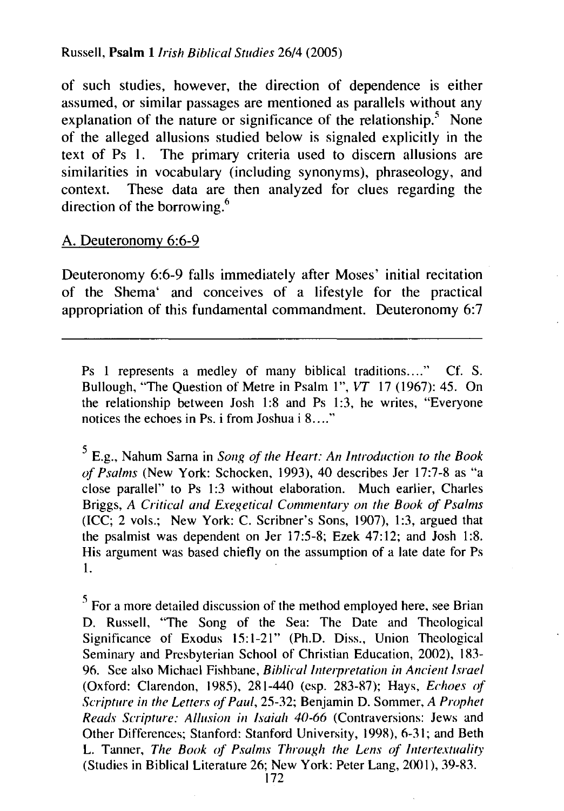#### Russell, **Psalm** *llrish Biblical Studies* 26/4 (2005)

of such studies, however, the direction of dependence is either assumed, or similar passages are mentioned as parallels without any explanation of the nature or significance of the relationship. $5$  None of the alleged allusions studied below is signaled explicitly in the text of Ps 1. The primary criteria used to discern allusions are similarities in vocabulary (including synonyms), phraseology, and context. These data are then analyzed for clues regarding the direction of the borrowing.<sup>6</sup>

#### A. Deuteronomy 6:6-9

Deuteronomy 6:6-9 falls immediately after Moses' initial recitation of the Shema' and conceives of a lifestyle for the practical appropriation of this fundamental commandment. Deuteronomy 6:7

Ps 1 represents a medley of many biblical traditions...." Cf. S. Bullough, "The Question of Metre in Psalm 1", *VT* 17 (1967): 45. On the relationship between Josh 1:8 and Ps 1:3, he writes, "Everyone notices the echoes in Ps. i from Joshua i 8...."

5 E.g., Nahum Sama in *Song of the Heart: An Introduction to the Book of Psalms* (New York: Schocken, 1993), 40 describes Jer 17:7-8 as "a close parallel" to Ps 1:3 without elaboration. Much earlier, Charles Briggs, *A Critical and Exegetical Commentary on the Book of Psalms*  (ICC; 2 vols.; New York: C. Scribner's Sons, 1907), 1:3, argued that the psalmist was dependent on Jer 17:5-8; Ezek 47:12; and Josh 1:8. His argument was based chiefly on the assumption of a late date for Ps 1.

 $<sup>5</sup>$  For a more detailed discussion of the method employed here, see Brian</sup> D. Russell, "The Song of the Sea: The Date and Theological Significance of Exodus 15:1-21" (Ph.D. Diss., Union Theological Seminary and Presbyterian School of Christian Education, 2002), 183- 96. See also Michael Fishbane, *Biblical Interpretation in Ancient Israel*  (Oxford: Clarendon, 1985), 281-440 (esp. 283-87); Hays, *Echoes of Scripture in the Letters (if Paul,* 25-32; Benjamin D. Sommer, *A Prophet Reads Scripture: Allusion in Isaiah 40-66* (Contraversions: Jews and Other Differences; Stanford: Stanford University, 1998), 6-31; and Beth L. Tanner, *The Book of Psalms Through the Lens of lntertextuality*  (Studies in Biblical Literature 26; New York: Peter Lang, 2001), 39-83.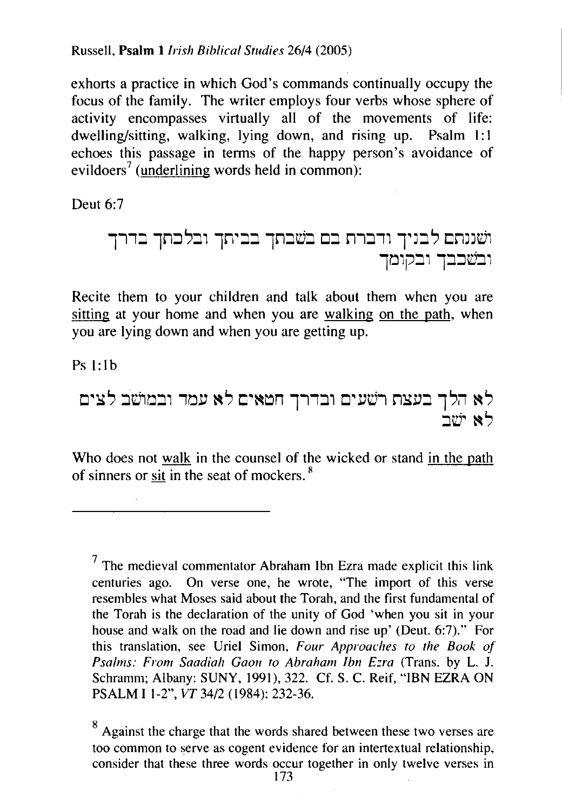Russell, Psalm I *Irish Biblical Studies 26!4* (2005)

exhorts a practice in which God's commands continually occupy the focus of the family. The writer employs four verbs whose sphere of activity encompasses virtually all of the movements of life: dwelling/sitting, walking, lying down, and rising up. Psalm 1:1 echoes this passage in terms of the happy person's avoidance of  $e$ vildoers<sup>7</sup> (underlining words held in common):

Deut 6:7

111:. lrl:::J~:., ln~:.:. lrl:::Jt:j:::J CJ:. n1:.11 TJ:J ~ cmJd1 ll'j1p:J1 l:::l:::ld:J1

Recite them to your children and talk about them when you are sitting at your home and when you are walking on the path, when you are lying down and when you are getting up.

 $Ps 1.1h$ 

CJ~Y~ :Jdm:.1 1/'jlJ ~~ c~~~n 111:J1 Cl~lJt:j1 nYl':J l~i1 ~~ :Jt:j~ ~ ~

Who does not walk in the counsel of the wicked or stand in the path of sinners or sit in the seat of mockers.  $8$ 

 $<sup>7</sup>$  The medieval commentator Abraham Ibn Ezra made explicit this link</sup> centuries ago. On verse one, he wrote, "The import of this verse resembles what Moses said about the Torah, and the first fundamental of the Torah is the declaration of the unity of God 'when you sit in your house and walk on the road and lie down and rise up' (Deut. 6:7)." For this translation, see Uriel Simon, *Four Approaches to the Book of Psalms: From Saadiah Gaon to Abraham lbn E:ra* (Trans. by L. J. Schramm; Albany: SUNY, 1991), 322. Cf. S. C. Reif, "IBN EZRA ON PSALM I l-2", VT 34/2 (1984): 232-36.

<sup>8</sup> Against the charge that the words shared between these two verses are too common to serve as cogent evidence for an intertextual relationship, consider that these three words occur together in only twelve verses in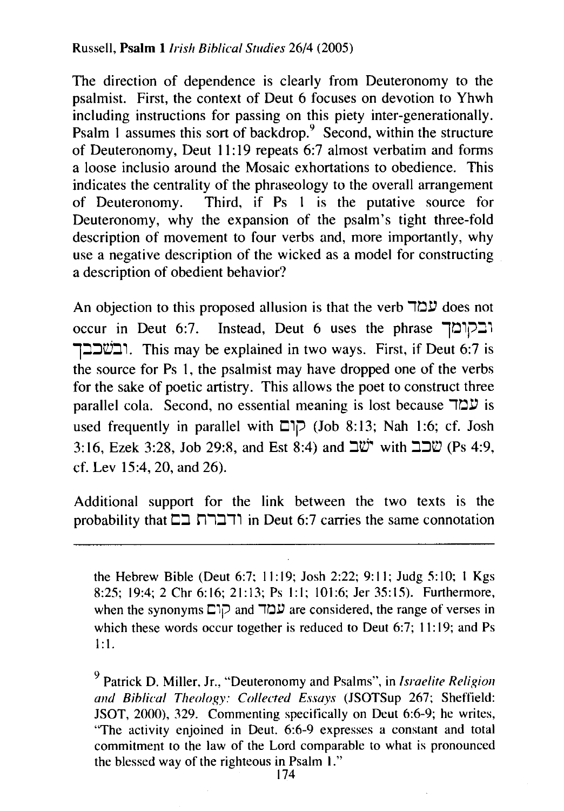The direction of dependence is clearly from Deuteronomy to the psalmist. First, the context of Deut 6 focuses on devotion to Yhwh including instructions for passing on this piety inter-generationally. Psalm 1 assumes this sort of backdrop.<sup>9</sup> Second, within the structure of Deuteronomy, Deut 11:19 repeats 6:7 almost verbatim and forms a loose inclusio around the Mosaic exhortations to obedience. This indicates the centrality of the phraseology to the overall arrangement<br>of Deuteronomy. Third, if Ps 1 is the putative source for Third, if Ps 1 is the putative source for Deuteronomy, why the expansion of the psalm's tight three-fold description of movement to four verbs and, more importantly, why use a negative description of the wicked as a model for constructing a description of obedient behavior?

An objection to this proposed allusion is that the verb  $\Box \Box \Box$  does not occur in Deut 6:7. Instead, Deut 6 uses the phrase 101P 1::Jib:n. This may be explained in two ways. First, if Deut 6:7 is the source for Ps 1, the psalmist may have dropped one of the verbs for the sake of poetic artistry. This allows the poet to construct three parallel cola. Second, no essential meaning is lost because  $\mathbb{Z}$  is is used frequently in parallel with  $\Box \Box \Box$  (Job 8:13; Nah 1:6; cf. Josh 3:16, Ezek 3:28, Job 29:8, and Est 8:4) and  $\exists \ddot{w}$  with  $\exists \exists \dddot{w}$  (Ps 4:9, cf. Lev 15:4, 20, and 26).

Additional support for the link between the two texts is the probability that  $\Box$ ה ודברת בה in Deut 6:7 carries the same connotation

the Hebrew Bible (Deut 6:7; 11:19; Josh 2:22; 9:11; Judg 5:10; 1 Kgs 8:25; 19:4; 2 Chr 6:16; 21:13; Ps 1:1; 101:6; Jer 35:15). Furthermore, when the synonyms  $\Box$ קו $\Box$  and  $\Box$  are considered, the range of verses in which these words occur together is reduced to Deut 6:7; 11:19; and Ps  $1:1.$ 

9 Patrick D. Miller, Jr., "Deuteronomy and Psalms", in *Israelite Religion and Biblical Theology: Collected Essays* (JSOTSup 267; Sheffield: JSOT, 2000), 329. Commenting specifically on Deut 6:6-9; he writes, "The activity enjoined in Deut. 6:6-9 expresses a constant and total commitment to the law of the Lord comparable to what is pronounced the blessed way of the righteous in Psalm I."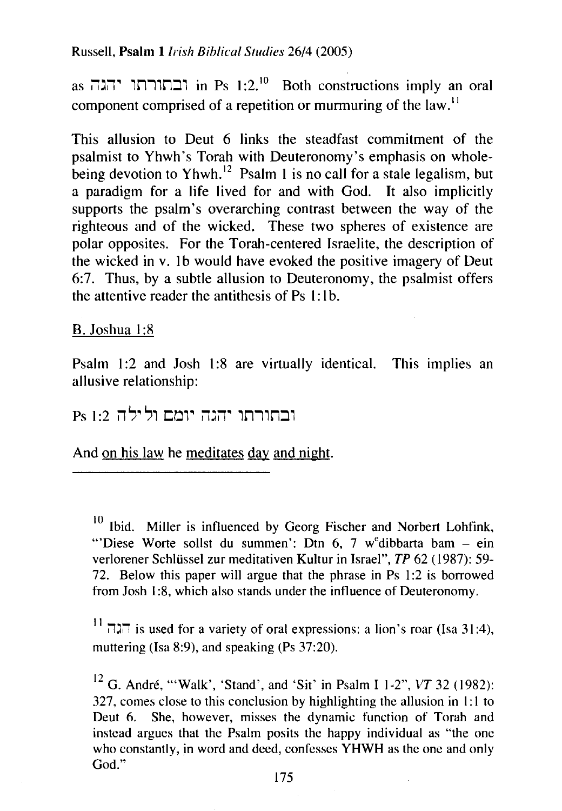Russell, **Psalm** I *Irish Biblical Studies* 26/4 (2005)

as  $\overline{1}$ in Ps 1:2.<sup>10</sup> Both constructions imply an oral component comprised of a repetition or murmuring of the law.<sup>11</sup>

This allusion to Deut 6 links the steadfast commitment of the psalmist to Yhwh's Torah with Deuteronomy's emphasis on wholebeing devotion to Yhwh.<sup>12</sup> Psalm 1 is no call for a stale legalism, but a paradigm for a life lived for and with God. It also implicitly supports the psalm's overarching contrast between the way of the righteous and of the wicked. These two spheres of existence are polar opposites. For the Torah-centered Israelite, the description of the wicked in v. 1b would have evoked the positive imagery of Deut 6:7. Thus, by a subtle allusion to Deuteronomy, the psalmist offers the attentive reader the antithesis of  $Ps 1:1b$ .

B. Joshua 1:8

Psalm 1:2 and Josh 1:8 are virtually identical. This implies an allusive relationship:

ובתורתו יהגה יומם ולילה Ps 1:2

And on his law he meditates day and night.

 $10$  Ibid. Miller is influenced by Georg Fischer and Norbert Lohfink, "Diese Worte sollst du summen': Dtn 6, 7 w<sup>e</sup>dibbarta bam – ein verlorener Schlüssel zur meditativen Kultur in Israel", *TP* 62 (1987): 59-72. Below this paper will argue that the phrase in Ps 1:2 is borrowed from Josh 1:8, which also stands under the influence of Deuteronomy.

 $^{11}$  is used for a variety of oral expressions: a lion's roar (Isa 31:4), muttering (lsa 8:9), and speaking (Ps 37:20).

<sup>12</sup> G. André, "'Walk', 'Stand', and 'Sit' in Psalm I 1-2",  $VT$  32 (1982): 327, comes close to this conclusion by highlighting the allusion in 1:1 to Deut 6. She, however, misses the dynamic function of Torah and instead argues that the Psalm posits the happy individual as "the one who constantly, in word and deed, confesses YHWH as the one and only God."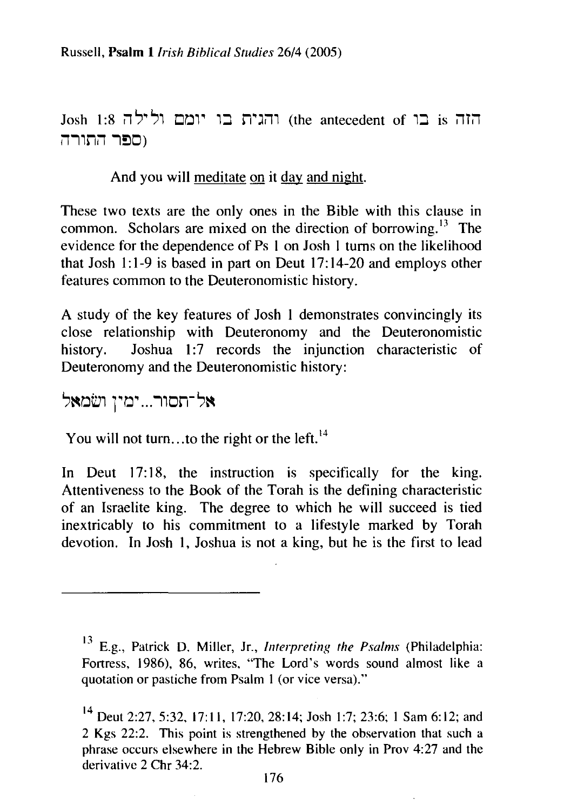Josh 1:8 ווהגית בו יומם ולילה 1:8 (the antecedent of 1:8  $\overline{11}$ ומפר התורה **I** 

And you will meditate on it day and night.

These two texts are the only ones in the Bible with this clause in common. Scholars are mixed on the direction of borrowing.<sup>13</sup> The evidence for the dependence of Ps 1 on Josh I turns on the likelihood that Josh 1:1-9 is based in part on Deut 17:14-20 and employs other features common to the Deuteronomistic history.

A study of the key features of Josh 1 demonstrates convincingly its close relationship with Deuteronomy and the Deuteronomistic history. Joshua 1:7 records the injunction characteristic of Deuteronomy and the Deuteronomistic history:

אל־תסור...ימין ושׂמאל

You will not turn... to the right or the left.<sup>14</sup>

In Deut  $17:18$ , the instruction is specifically for the king. Attentiveness to the Book of the Torah is the defining characteristic of an Israelite king. The degree to which he will succeed is tied inextricably to his commitment to a lifestyle marked by Torah devotion. In Josh 1, Joshua is not a king, but he is the first to lead

<sup>13</sup>E.g., Patrick D. Miller, Jr., *Interpreting the Psalms* (Philadelphia: Fortress, 1986), 86, writes, "The Lord's words sound almost like a quotation or pastiche from Psalm I (or vice versa)."

<sup>&</sup>lt;sup>14</sup> Deut 2:27, 5:32, 17:11, 17:20, 28:14; Josh 1:7; 23:6; 1 Sam 6:12; and 2 Kgs 22:2. This point is strengthened by the observation that such a phrase occurs elsewhere in the Hebrew Bible only in Prov 4:27 and the derivative 2 Chr 34:2.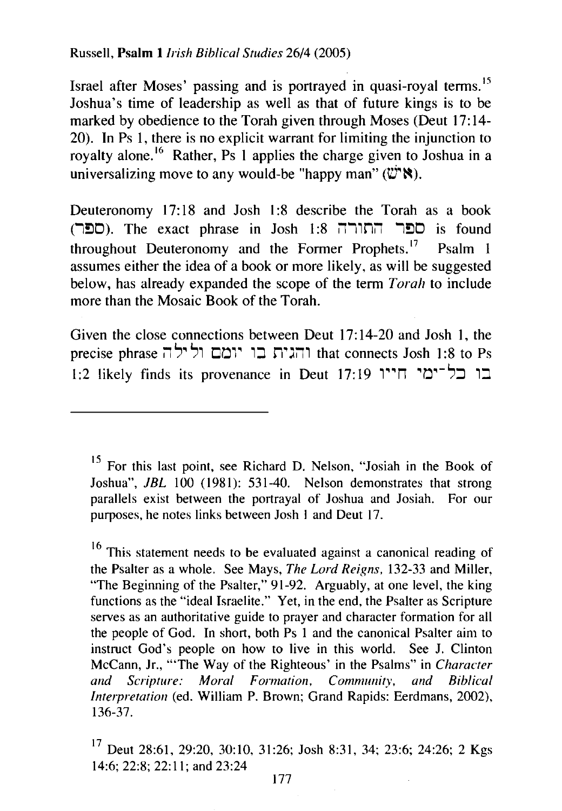Russell, **Psalm 1** *Irish Biblical Studies* 26/4 (2005)

Israel after Moses' passing and is portrayed in quasi-royal terms. <sup>15</sup> Joshua's time of leadership as well as that of future kings is to be marked by obedience to the Torah given through Moses (Deut 17:14-  $20$ ). In Ps 1, there is no explicit warrant for limiting the injunction to royalty alone. 16 Rather, Ps **1** applies the charge given to Joshua in a universalizing move to any would-be "happy man" ( $\ddot{\mathbf{w}}$ " $\ddot{\mathbf{N}}$ ).

Deuteronomy 17:18 and Josh 1:8 describe the Torah as a book (ספר התורה 1:8 Josh 1:8 וספר התורה). The exact phrase in Josh  $1:8$ throughout Deuteronomy and the Former Prophets.<sup>17</sup> Psalm 1 assumes either the idea of a book or more likely, as will be suggested below, has already expanded the scope of the term *Torah* to include more than the Mosaic Book of the Torah.

Given the close connections between Deut 17:14-20 and Josh **1,** the precise phrase  $\vec{a}$ ן והגית בו יומם ולילה that connects Josh 1:8 to Ps 1:2 likely finds its provenance in Deut 17:19 1~~n ~rJ~-'?::J **1:::1** 

<sup>&</sup>lt;sup>15</sup> For this last point, see Richard D. Nelson, "Josiah in the Book of Joshua", *JBL* 100 (1981): 531-40. Nelson demonstrates that strong parallels exist between the portrayal of Joshua and Josiah. For our purposes, he notes links between Josh 1 and Deut 17.

 $16$  This statement needs to be evaluated against a canonical reading of the Psalter as a whole. See Mays, *The Lord Reigns,* 132-33 and Miller, 'The Beginning of the Psalter," 91-92. Arguably, at one level, the king functions as the "ideal Israelite." Yet, in the end, the Psalter as Scripture serves as an authoritative guide to prayer and character formation for all the people of God. In short, both Ps 1 and the canonical Psalter aim to instruct God's people on how to live in this world. See J. Clinton McCann, Jr., "'The Way of the Righteous' in the Psalms" in *Character and Scripture: Moral Formation, Community, and Biblical Interpretation (ed. William P. Brown; Grand Rapids: Eerdmans, 2002),* 136-37.

 $17$  Deut 28:61, 29:20, 30:10, 31:26; Josh 8:31, 34; 23:6; 24:26; 2 Kgs 14:6; 22:8; 22:11; and 23:24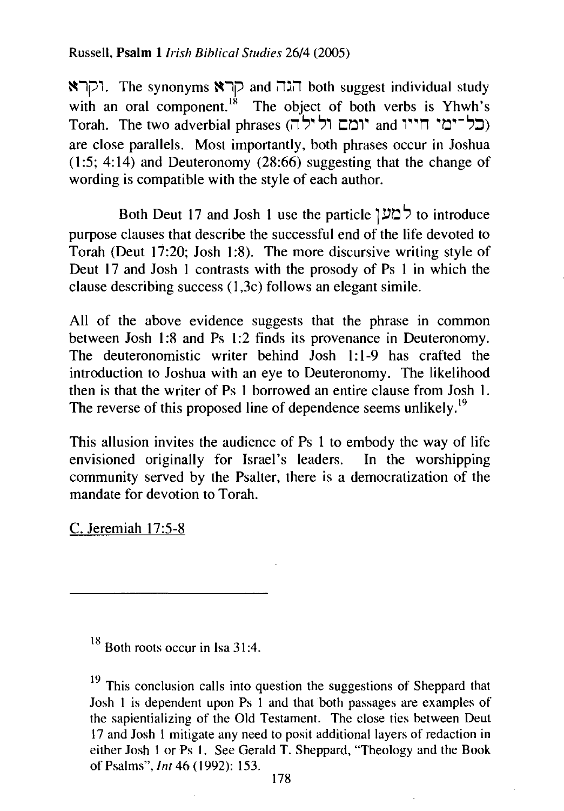Russell, **Psalm** *1/rish Biblical Studies* 26/4 (2005)

 $\blacksquare$ 1, The synonyms  $\blacksquare$ קרא both suggest individual study with an oral component.<sup>18</sup> The object of both verbs is Yhwh's  $T$ orah. The two adverbial phrases ('תל־ימי חייו and יומם ול are close parallels. Most importantly, both phrases occur in Joshua  $(1:5; 4:14)$  and Deuteronomy  $(28:66)$  suggesting that the change of wording is compatible with the style of each author.

Both Deut 17 and Josh **1** use the particle 1s.m ', to introduce purpose clauses that describe the successful end of the life devoted to Torah (Deut 17:20; Josh 1:8). The more discursive writing style of Deut 17 and Josh 1 contrasts with the prosody of Ps 1 in which the clause describing success (1 ,3c) follows an elegant simile.

All of the above evidence suggests that the phrase in common between Josh 1:8 and Ps 1:2 finds its provenance in Deuteronomy. The deuteronomistic writer behind Josh **1:** 1-9 has crafted the introduction to Joshua with an eye to Deuteronomy. The likelihood then is that the writer of Ps 1 borrowed an entire clause from Josh **1.**  The reverse of this proposed line of dependence seems unlikely.<sup>19</sup>

This allusion invites the audience of Ps 1 to embody the way of life envisioned originally for Israel's leaders. In the worshipping community served by the Psalter, there is a democratization of the mandate for devotion to Torah.

C. Jeremiah 17:5-8

 $18$  Both roots occur in Isa 31:4.

 $19$  This conclusion calls into question the suggestions of Sheppard that Josh I is dependent upon Ps I and that both passages are examples of the sapientializing of the Old Testament. The close ties between Deut 17 and Josh I mitigate any need to posit additional layers of redaction in either Josh I or Ps I. See Gerald T. Sheppard, "Theology and the Book of Psalms", *lnt* 46 (1992): 153.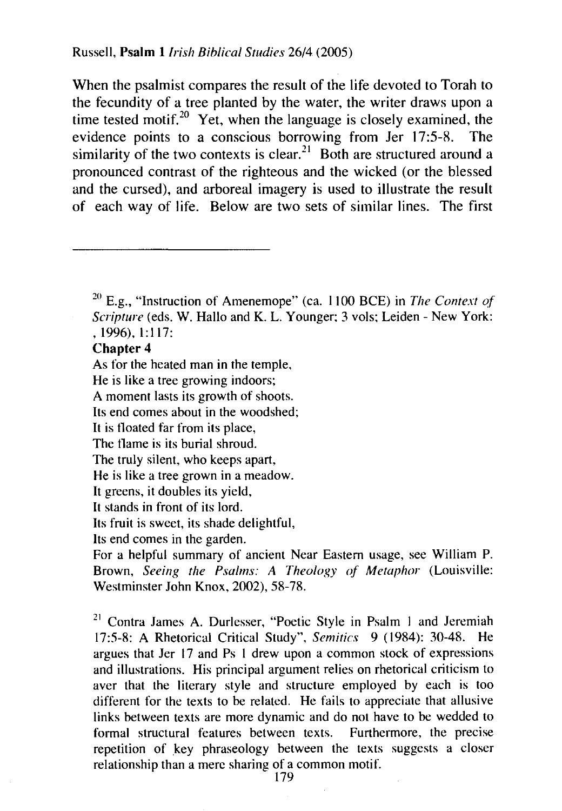When the psalmist compares the result of the life devoted to Torah to the fecundity of a tree planted by the water, the writer draws upon a time tested motif.<sup>20</sup> Yet, when the language is closely examined, the evidence points to a conscious borrowing from Jer 17:5-R. The similarity of the two contexts is clear.<sup>21</sup> Both are structured around a pronounced contrast of the righteous and the wicked (or the blessed and the cursed), and arboreal imagery is used to illustrate the result of each way of life. Below are two sets of similar lines. The first

#### **Chapter 4**

As for the heated man in the temple,

He is like a tree growing indoors;

A moment lasts its growth of shoots.

Its end comes about in the woodshed;

It is tloated far from its place,

The tlame is its burial shroud.

The truly silent, who keeps apart,

He is like a tree grown in a meadow.

It greens, it doubles its yield,

It stands in front of its lord.

Its fruit is sweet, its shade delightful,

Its end comes in the garden.

For a helpful summary of ancient Near Eastern usage, see William P. Brown, *Seeing the Psalms: A Theology of Metaphor* (Louisville: Westminster John Knox, 2002), 58-78.

 $21$  Contra James A. Durlesser, "Poetic Style in Psalm 1 and Jeremiah 17:5-8: A Rhetorical Critical Study", *Semitics* 9 (1984): 30-48. He argues that Jcr 17 and Ps I drew upon a common stock of expressions and illustrations. His principal argument relies on rhetorical criticism to aver that the literary style and structure employed by each is too different for the texts to be related. He fails to appreciate that allusive links between texts arc more dynamic and do not have to be wedded to formal structural features between texts. Furthermore, the precise repetition of key phraseology between the texts suggests a closer relationship than a mere sharing of a common motif.

<sup>20</sup> E.g., "Instruction of Amenemope" (ea. 1100 BCE) in *The Context of Scripture* (eds. W. Hallo and K. L. Younger; 3 vols; Leiden- New York: • 1996), 1:117: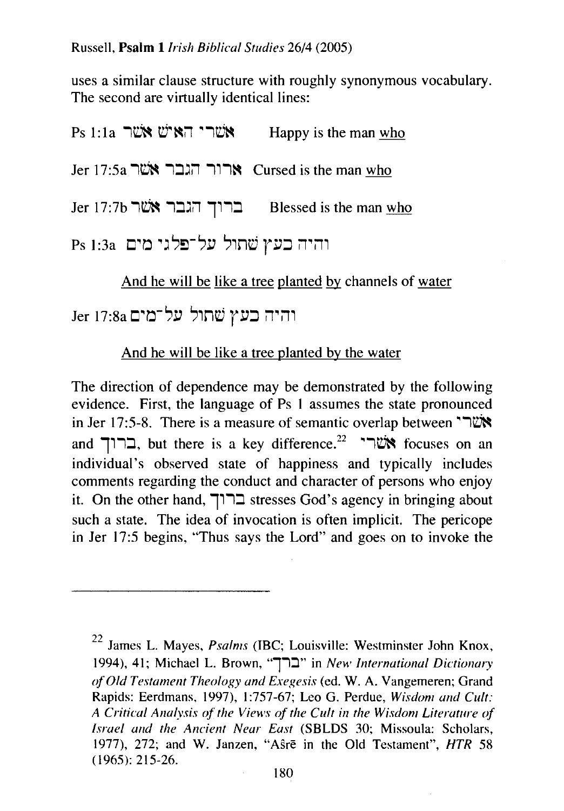uses a similar clause structure with roughly synonymous vocabulary. The second are virtually identical lines:

| Ps 1:1a אשרי האיש אשר                                | Happy is the man who |
|------------------------------------------------------|----------------------|
| Jer 17:5a ארור הגבר אשר Cursed is the man who        |                      |
| Jer 17:7b אשר הגבר אשר Blessed is the man <u>who</u> |                      |
| והיה כעץ שתול על־פלגי מים  1:3a Ps                   |                      |

And he will be like a tree planted by channels of water

והיה כעץ שתול על־מים Jer 17:8a

### And he will be like a tree planted by the water

The direction of dependence may be demonstrated by the following evidence. First, the language of Ps **1** assumes the state pronounced **in Jer 17:5-8.** There is a measure of semantic overlap between  $\mathbf{W}$ and **111:** eut there is a key difference.<sup>22</sup> **All investigation** an individual's observed state of happiness and typically includes comments regarding the conduct and character of persons who enjoy it. On the other hand, **111::l** stresses God's agency in bringing about such a state. The idea of invocation is often implicit. The pericope in Jer 17:5 begins, "Thus says the Lord" and goes on to invoke the

<sup>22</sup> James L. Mayes, *Psalms* (IBC; Louisville: Westminster John Knox, 1994), 41; Michael L. Brown, "ברך" in New International Dictionary *of Old Testament Theology and Exegesis* (ed. W. A. Vangemeren; Grand Rapids: Eerdmans, 1997), 1 :757-67; Leo G. Perdue, *Wisdom and Cult: A Critical Analysis of the Views of the Cult in the Wisdom Literature of Israel and the Ancient Near East* (SBLDS 30; Missoula: Scholars, 1977), 272; and W. Janzen, "Asre in the Old Testament", HTR 58 (1965): 215-26.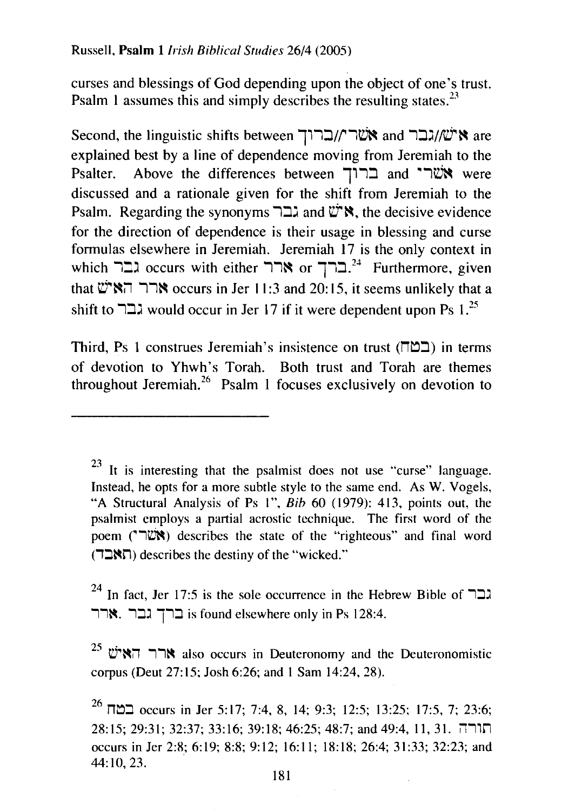curses and blessings of God depending upon the object of one's trust. Psalm 1 assumes this and simply describes the resulting states.<sup>23</sup>

Second, the linguistic shifts between וברוך and אישׂו//עבר are explained best by a line of dependence moving from Jeremiah to the<br>Psalter. Above the differences between ברוך and and "שרי Above the differences between  $T$ רי and  $\tilde{C}$  were discussed and a rationale given for the shift from Jeremiah to the  $P$ salm. Regarding the synonyms  $\Box$  and  $\mathbb{C}^*$ . the decisive evidence for the direction of dependence is their usage in blessing and curse formulas elsewhere in Jeremiah. Jeremiah 17 is the only context in which ברך  $\mathbf{c}$ ccurs with either  $\mathbf{c}$ רר  $^{24}$  Furthermore, given that  $\mathbb{C}^*$ ר האי $\mathbb{C}$  occurs in Jer 11:3 and 20:15, it seems unlikely that a shift to  $\Box$ גבר would occur in Jer 17 if it were dependent upon Ps 1.<sup>25</sup>

Third, Ps 1 construes Jeremiah's insistence on trust ( $\P$ חב) in terms of devotion to Yhwh's Torah. Both trust and Torah are themes throughout Jeremiah.<sup>26</sup> Psalm 1 focuses exclusively on devotion to

 $23$  It is interesting that the psalmist does not use "curse" language. Instead, he opts for a more subtle style to the same end. As W. Vogels, "A Structural Analysis of Ps I", *Bib* 60 (1979): 413, points out, the psalmist employs a partial acrostic technique. The first word of the poem ("1") describes the state of the "righteous" and final word (האבה) describes the destiny of the "wicked."

 $^{24}$  In fact, Jer 17:5 is the sole occurrence in the Hebrew Bible of  $\Box$ רר ארר. 128:4. 12:4. ברך גבר  $\blacksquare$ : is found elsewhere only in Ps 128:4.

 $^{25}$  בארך האיש also occurs in Deuteronomy and the Deuteronomistic corpus (Deut 27: 15; Josh 6:26; and 1 Sam 14:24, 28).

 $^{26}$  במח  $\,$ ccurs in Jer 5:17; 7:4, 8, 14; 9:3; 12:5; 13:25; 17:5, 7; 23:6;  $\,$  $28:15$ ; 29:31; 32:37; 33:16; 39:18; 46:25; 48:7; and 49:4, 11, 31. הורה occurs in Jer 2:8; 6:19; 8:8; 9:12; 16:11; 18:18; 26:4; 31:33; 32:23; and 44:10,23.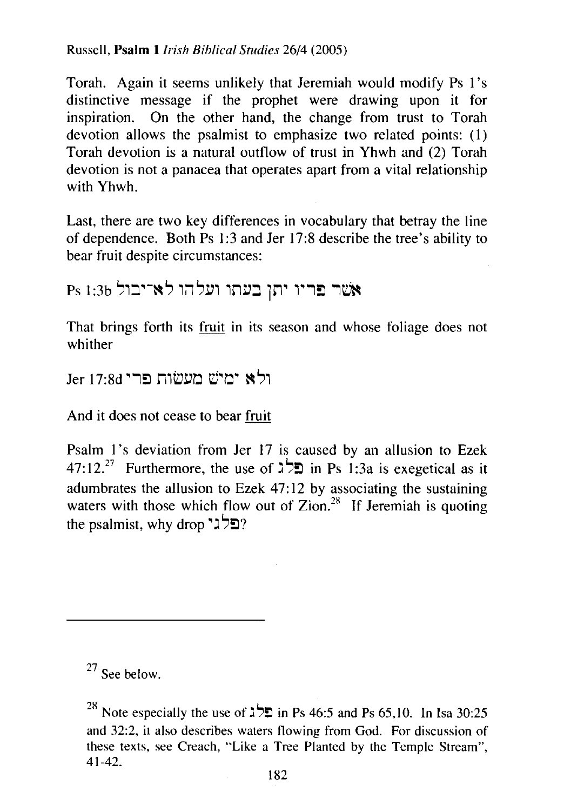Russell, Psalm 1 *Irish Biblical Studies* 26/4 (2005)

Torah. Again it seems unlikely that Jeremiah would modify Ps 1's distinctive message if the prophet were drawing upon it for inspiration. On the other hand, the change from trust to Torah devotion allows the psalmist to emphasize two related points: (1) Torah devotion is a natural outflow of trust in Yhwh and (2) Torah devotion is not a panacea that operates apart from a vital relationship with Yhwh.

Last, there are two key differences in vocabulary that betray the line of dependence. Both Ps 1:3 and Jer 17:8 describe the tree's ability to bear fruit despite circumstances:

Ps 1:3b אשר פריו יתן בעתו ועלהו לא־יבול

That brings forth its fruit in its season and whose foliage does not whither

ולא ימיש מעשות פרי Jer 17:8d

And it does not cease to bear fruit

Psalm 1's deviation from Jer 17 is caused by an allusion to Ezek 47:12.<sup>27</sup> Furthermore, the use of  $\sharp \forall z$  in Ps 1:3a is exegetical as it adumbrates the allusion to Ezek  $47:12$  by associating the sustaining waters with those which flow out of Zion.<sup>28</sup> If Jeremiah is quoting the psalmist, why drop  $?$ פלגי $?$ 

 $27$  See below.

in Ps 46:5 and Ps 65,10. In Isa 30:25 Note especially the use of  $\lambda^2$  in Ps 46:5 and Ps 65,10. In Isa 30:25 and 32:2, it also describes waters flowing from God. For discussion of these texts, see Creach, "Like a Tree Planted by the Temple Stream", 41-42.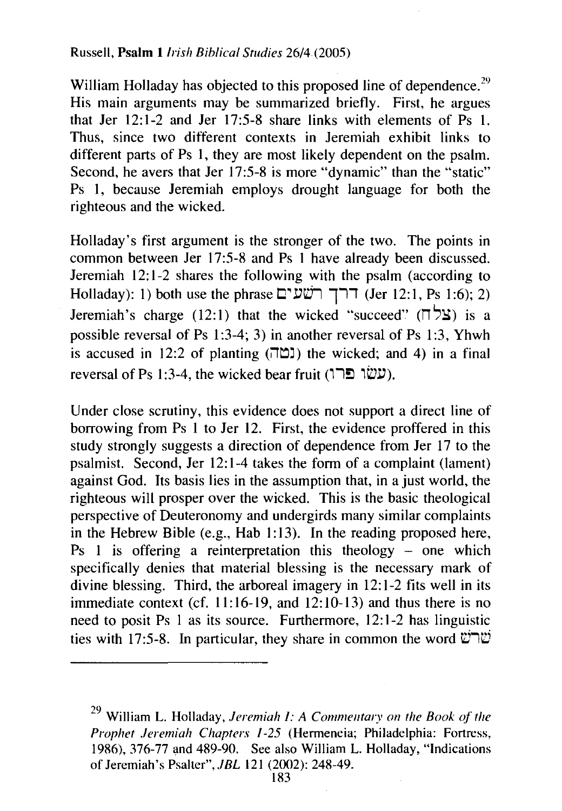William Holladay has objected to this proposed line of dependence.<sup>29</sup> His main arguments may be summarized briefly. First, he argues that Jer 12:1-2 and Jer 17:5-8 share links with elements of Ps 1. Thus, since two different contexts in Jeremiah exhibit links to different parts of Ps 1, they are most likely dependent on the psalm. Second, he avers that Jer 17:5-8 is more "dynamic" than the "static" Ps 1, because Jeremiah employs drought language for both the righteous and the wicked.

Holladay's first argument is the stronger of the two. The points in common between Jer 17:5-8 and Ps I have already been discussed. Jeremiah 12:1-2 shares the following with the psalm (according to Holladay): 1) both use the phrase ררך רשעים (Jer 12:1, Ps 1:6); 2) Jeremiah's charge (12:1) that the wicked "succeed"  $(\overline{\phantom{a}}\ \overline{\phantom{a}}\ )$  is a possible reversal of Ps 1:3-4; 3) in another reversal of Ps 1:3, Yhwh is accused in 12:2 of planting  $(T\Box)$ ) the wicked; and 4) in a final reversal of Ps 1:3-4, the wicked bear fruit (עשו פרו).

Under close scrutiny, this evidence does not support a direct line of borrowing from Ps 1 to Jer 12. First, the evidence proffered in this study strongly suggests a direction of dependence from Jer 17 to the psalmist. Second, Jer 12: 1-4 takes the form of a complaint (lament) against God. Its basis lies in the assumption that, in a just world, the righteous will prosper over the wicked. This is the basic theological perspective of Deuteronomy and undergirds many similar complaints in the Hebrew Bible (e.g., Hab 1:13). In the reading proposed here, Ps 1 is offering a reinterpretation this theology  $-$  one which specifically denies that material blessing is the necessary mark of divine blessing. Third, the arboreal imagery in 12:1-2 fits well in its immediate context (cf. 11:16-19, and 12:10-13) and thus there is no need to posit Ps I as its source. Furthermore, 12:1-2 has linguistic ties with 17:5-8. In particular, they share in common the word  $\ddot{\mathbf{u}}$ שר

<sup>29</sup>William L. Holladay, *Jeremiah 1: A Commentary on the Book of the Prophet Jeremiah Chapters* /-25 (Hermeneia; Philadelphia: Fortress, 1986), 376-77 and 489-90. See also William L. Holladay, "Indications of Jeremiah's Psalter", *.IBL* 121 (2002): 248-49.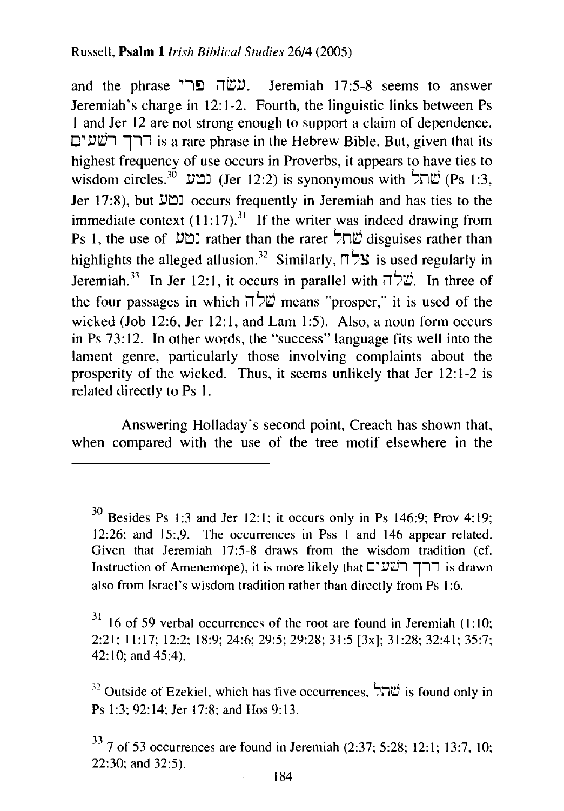and the phrase ישה פרי Jeremiah 17:5-8 seems to answer Jeremiah's charge in 12:1-2. Fourth, the linguistic links between Ps I and Jer 12 are not strong enough to support a claim of dependence. רך רשעים is a rare phrase in the Hebrew Bible. But, given that its highest frequency of use occurs in Proverbs, it appears to have ties to wisdom circles.<sup>30</sup> (Jer 12:2) is synonymous with  $\forall \Gamma \psi$  (Ps 1:3, Jer 17:8), but <sup>2</sup>טע occurs frequently in Jeremiah and has ties to the immediate context  $(11:17).^{31}$  If the writer was indeed drawing from Ps 1, the use of  $\omega$ תל rather than the rarer  $\forall n\omega$  disguises rather than highlights the alleged allusion.<sup>32</sup> Similarly,  $\overline{D}$  S is used regularly in Jeremiah.<sup>33</sup> In Jer 12:1, it occurs in parallel with  $\vec{v}$ . In three of the four passages in which  $\vec{v}$  means "prosper," it is used of the wicked (Job 12:6, Jer 12:1, and Lam 1:5). Also, a noun form occurs in Ps 73:12. In other words, the "success" language fits well into the lament genre, particularly those involving complaints about the prosperity of the wicked. Thus, it seems unlikely that Jer 12:1-2 is related directly to Ps 1.

Answering Holladay's second point, Creach has shown that, when compared with the use of the tree motif elsewhere in the

 $30$  Besides Ps 1:3 and Jer 12:1; it occurs only in Ps 146:9; Prov 4:19; 12:26; and 15:,9. The occurrences in Pss I and 146 appear related. Given that Jeremiah 17:5-8 draws from the wisdom tradition (cf. Instruction of Amenemope), it is more likely that ררך רשעים also from Israel's wisdom tradition rather than directly from Ps I :6.

 $31$  16 of 59 verbal occurrences of the root are found in Jeremiah (1:10; 2:21: 11: 17; 12:2; 18:9; 24:6; 29:5; 29:28; 31:5 [3x]; 31 :28; 32:41; 35:7; 42: 10; and 45:4).

<sup>32</sup> Outside of Ezekiel, which has five occurrences,  $\forall \vec{n}$  is found only in Ps 1:3; 92:14; Jer 17:8; and Hos 9:13.

 $33\,$  7 of 53 occurrences are found in Jeremiah (2:37; 5:28; 12:1; 13:7, 10; 22:30; and 32:5).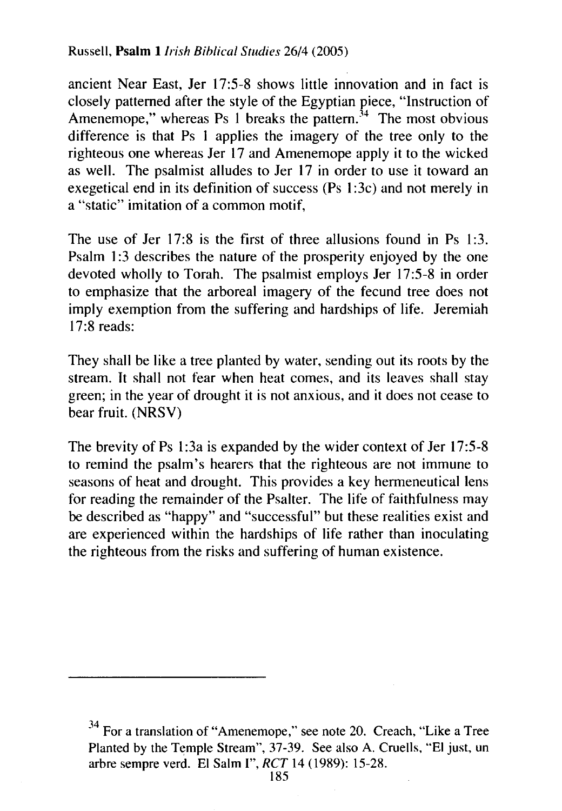Russell, **Psalm** *1/rish Bihlical Studies* 26/4 (2005)

ancient Near East, Jer 17:5-8 shows little innovation and in fact is closely patterned after the style of the Egyptian piece, "Instruction of Amenemope," whereas Ps 1 breaks the pattern.<sup>34</sup> The most obvious difference is that Ps 1 applies the imagery of the tree only to the righteous one whereas Jer 17 and Amenemope apply it to the wicked as well. The psalmist alludes to Jer 17 in order to use it toward an exegetical end in its definition of success (Ps 1 :3c) and not merely in a "static" imitation of a common motif,

The use of Jer 17:8 is the first of three allusions found in Ps 1:3. Psalm 1:3 describes the nature of the prosperity enjoyed by the one devoted wholly to Torah. The psalmist employs Jer 17:5-8 in order to emphasize that the arboreal imagery of the fecund tree does not imply exemption from the suffering and hardships of life. Jeremiah 17:8 reads:

They shall be like a tree planted by water, sending out its roots by the stream. It shall not fear when heat comes, and its leaves shall stay green; in the year of drought it is not anxious, and it does not cease to bear fruit. (NRSV)

The brevity of Ps 1:3a is expanded by the wider context of Jer 17:5-8 to remind the psalm's hearers that the righteous are not immune to seasons of heat and drought. This provides a key hermeneutical lens for reading the remainder of the Psalter. The life of faithfulness may be described as "happy" and "successful" but these realities exist and are experienced within the hardships of life rather than inoculating the righteous from the risks and suffering of human existence.

 $34$  For a translation of "Amenemope," see note 20. Creach, "Like a Tree Planted by the Temple Stream", 37-39. See also A. Cruells, "El just, un arbre sempre verd. El Salm I", *RCT* 14 (1989): 15-28.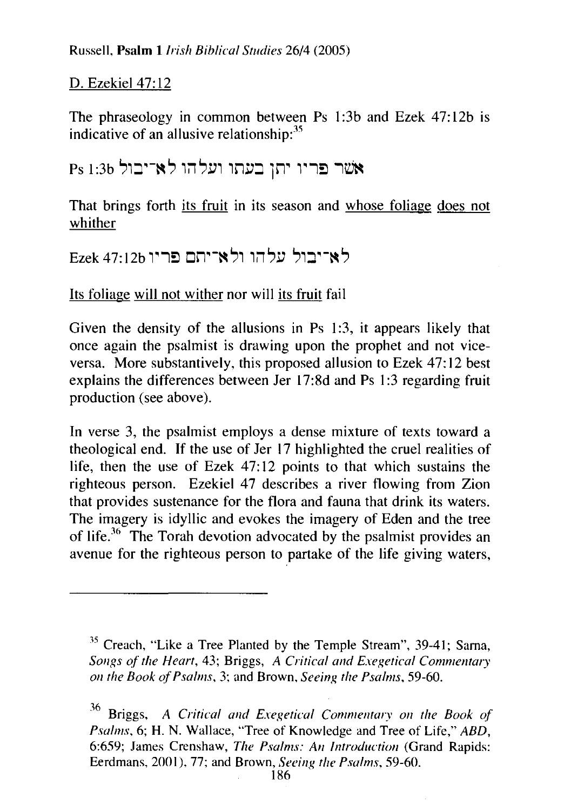# D. Ezekiel 47:12

The phraseology in common between Ps 1:3b and Ezek 47:12b is indicative of an allusive relationship: $35$ 

# אשר פריו יתן בעתו ועלהו לא־יבול Ps 1:3b

That brings forth its fruit in its season and whose foliage does not whither

לא־יבול עלהו ולא־יתם פריו Ezek 47:12b

Its foliage will not wither nor will its fruit fail

Given the density of the allusions in Ps 1:3, it appears likely that once again the psalmist is drawing upon the prophet and not viceversa. More substantively, this proposed allusion to Ezek 47:12 best explains the differences between Jer 17:8d and Ps 1:3 regarding fruit production (see above).

In verse 3, the psalmist employs a dense mixture of texts toward a theological end. If the use of Jer 17 highlighted the cruel realities of life, then the use of Ezek 47:12 points to that which sustains the righteous person. Ezekiel 47 describes a river flowing from Zion that provides sustenance for the flora and fauna that drink its waters. The imagery is idyllic and evokes the imagery of Eden and the tree of life.<sup>36</sup> The Torah devotion advocated by the psalmist provides an avenue for the righteous person to partake of the life giving waters,

<sup>35</sup> Creach, "Like a Tree Planted by the Temple Stream", 39-41; Sama, *Songs of the Heart, 43; Briggs, A Critical and Exegetical Commentary on the Book of Psalms,* 3; and Brown, *Seeing the Psalms,* 59-60.

<sup>36</sup> Briggs, *A Critical and Exegetical Commentary on the Book of Psalms,* 6; **H.** N. Wallace, "Tree of Knowledge and Tree of Life," *ABD,*  6:659; James Crenshaw, *The Psalms: An Introduction* (Grand Rapids: Eerdmans, 2001 ), 77; and Brown, *Seeing the Psalms,* 59-60.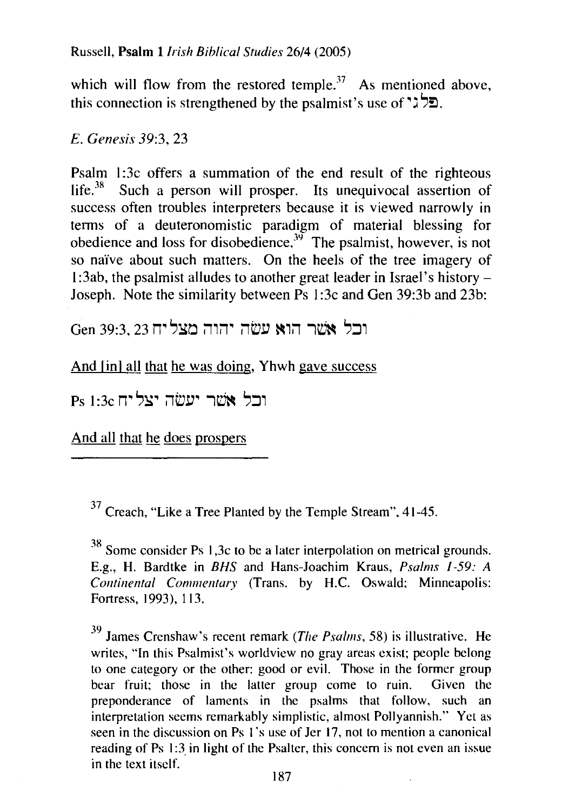Russell, Psalm *!Irish Biblical Studies* 26/4 (2005)

which will flow from the restored temple.<sup>37</sup> As mentioned above, this connection is strengthened by the psalmist's use of " $\lambda$ ?".

*E. Genesis* 39:3, 23

Psalm 1:3c offers a summation of the end result of the righteous life. $38$  Such a person will prosper. Its unequivocal assertion of success often troubles interpreters because it is viewed narrowly in terms of a deuteronomistic paradigm of material blessing for obedience and loss for disobedience.<sup>39</sup> The psalmist, however, is not so naive about such matters. On the heels of the tree imagery of 1:3ab, the psalmist alludes to another great leader in Israel's history – Joseph. Note the similarity between Ps 1 :3c and Gen 39:3b and 23b:

Gen 39:3, 23 ובל אשר הוא עשה יהוה מצליח

And [in] all that he was doing, Yhwh gave success

ורל אשר יעשה יצליח Ps 1.3c

And all that he does prospers

 $37$  Creach, "Like a Tree Planted by the Temple Stream", 41-45.

38 Some consider Ps 1 ,3c to be a later interpolation on metrical grounds. E.g., H. Bardtke in *BHS* and Hans-Joachim Kraus, *Psalms 1-59: A Continental Commentary* (Trans. by H.C. Oswald: Minneapolis: Fortress, 1993), 113.

39 James Crenshaw's recent remark *(The Psalms,* 58) is illustrative. He writes, "In this Psalmist's worldview no gray areas exist; people belong to one category or the other: good or evil. Those in the former group bear fruit; those in the latter group come to ruin. Given the preponderance of laments in the psalms that follow, such an interpretation seems remarkably simplistic, almost Pollyannish.'' Yet as seen in the discussion on Ps 1's use of Jer 17, not to mention a canonical reading of Ps 1:3 in light of the Psalter, this concern is not even an issue in the text itself.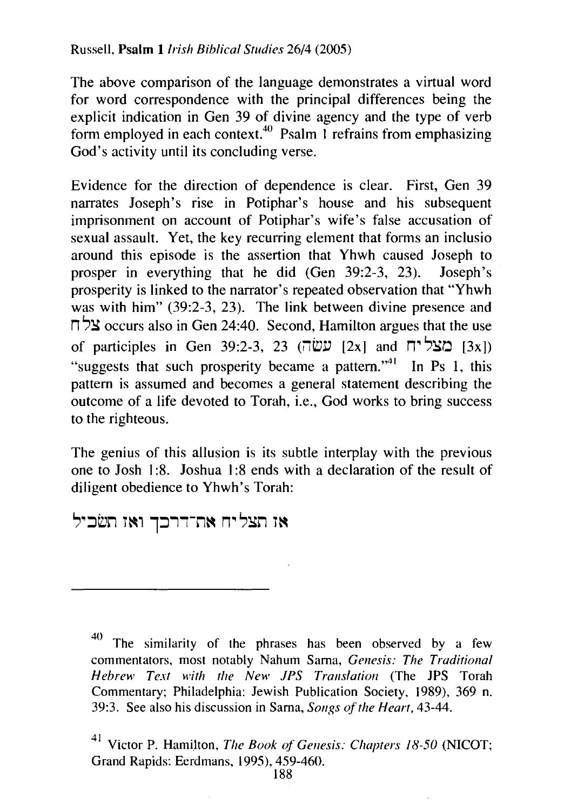The above comparison of the language demonstrates a virtual word for word correspondence with the principal differences being the explicit indication in Gen 39 of divine agency and the type of verb form employed in each context.<sup>40</sup> Psalm 1 refrains from emphasizing God's activity until its concluding verse.

Evidence for the direction of dependence is clear. First, Gen 39 narrates Joseph's rise in Potiphar's house and his subsequent imprisonment on account of Potiphar's wife's false accusation of sexual assault. Yet, the key recurring element that forms an inclusio around this episode is the assertion that Yhwh caused Joseph to prosper in everything that he did (Gen 39:2-3, 23). Joseph 's prosperity is linked to the narrator's repeated observation that "Yhwh was with him" (39:2-3, 23). The link between divine presence and  $\Box$   $\Im$  occurs also in Gen 24:40. Second, Hamilton argues that the use of participles in Gen 39:2-3, 23 (עשׂה [2x] and מצליח  $[3x]$ "suggests that such prosperity became a pattern."<sup>41</sup> In Ps 1, this pattern is assumed and becomes a general statement describing the outcome of a life devoted to Torah, i.e., God works to bring success to the righteous.

The genius of this allusion is its subtle interplay with the previous one to Josh 1 :8. Joshua 1:8 ends with a declaration of the result of diligent obedience to Yhwh's Torah:

אז תצליח את־דרכך ואז תשכיל

<sup>40</sup> The similarity of the phrases has been observed by a few commentators, most notably Nahum Sama, *Genesis: The Traditional Hebrew Text with the New JPS Translation* (The JPS Torah Commentary; Philadelphia: Jewish Publication Society, 1989), 369 n. 39:3. See also his discussion in Sama, *Songs of the Heart,* 43-44.

Victor P. Hamilton, *The Book of Genesis: Chapters 18-50* (NICOT; Grand Rapids: Eerdmans, 1995), 459-460.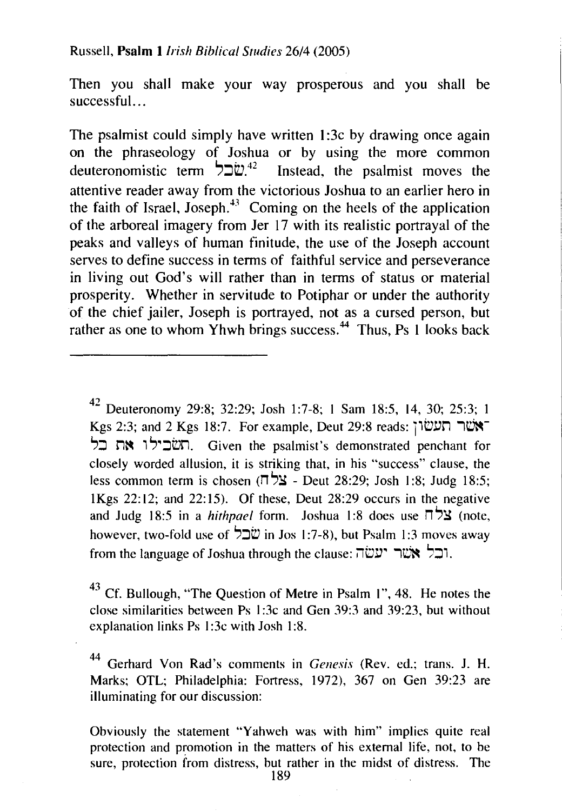Then you shall make your way prosperous and you shall be successful...

The psalmist could simply have written 1:3c by drawing once again on the phraseology of Joshua or by using the more common deuteronomistic term  $520^{24}$  Instead, the psalmist moves the Instead, the psalmist moves the attentive reader away from the victorious Joshua to an earlier hero in the faith of Israel, Joseph.<sup>43</sup> Coming on the heels of the application of the arboreal imagery from Jer 17 with its realistic portrayal of the peaks and valleys of human finitude, the use of the Joseph account serves to define success in terms of faithful service and perseverance in living out God's will rather than in terms of status or material prosperity. Whether in servitude to Potiphar or under the authority of the chief jailer, Joseph is portrayed, not as a cursed person, but rather as one to whom Yhwh brings success.<sup>44</sup> Thus, Ps 1 looks back

<sup>42</sup> Deuteronomy 29:8; 32:29; Josh 1:7-8; 1 Sam 18:5, 14, 30; 25:3; 1  $Kgs$  2:3; and 2 Kgs 18:7. For example, Deut 29:8 reads: תעשון '?::J rl~ 1 '?•::Jbrl. Given the psalmist's demonstrated penchant for closely worded allusion, it is striking that, in his "success" clause, the less common term is chosen ( $\Box$ צלח - Deut 28:29; Josh 1:8; Judg 18:5; lKgs 22:12; and 22:15). Of these, Deut 28:29 occurs in the negative and Judg 18:5 in a *hithpael* form. Joshua 1:8 does use  $\Box$  >  $\Box$  (note, however, two-fold use of  $\overleftrightarrow{\mathbf{C}}$  in Jos 1:7-8), but Psalm 1:3 moves away from the language of Joshua through the clause: ובל $\mathbb{R}$ .

<sup>43</sup> Cf. Bullough, "The Question of Metre in Psalm 1", 48. He notes the close similarities between Ps I :3c and Gen 39:3 and 39:23, but without explanation links Ps 1:3c with Josh 1:8.

44 Gerhard Von Rad's comments in *Genesis* (Rev. ed.; trans. J. H. Marks; OTL; Philadelphia: Fortress, 1972), 367 on Gen 39:23 are illuminating for our discussion:

Obviously the statement "Yahweh was with him" implies quite real protection and promotion in the matters of his external life, not, to be sure, protection from distress, but rather in the midst of distress. The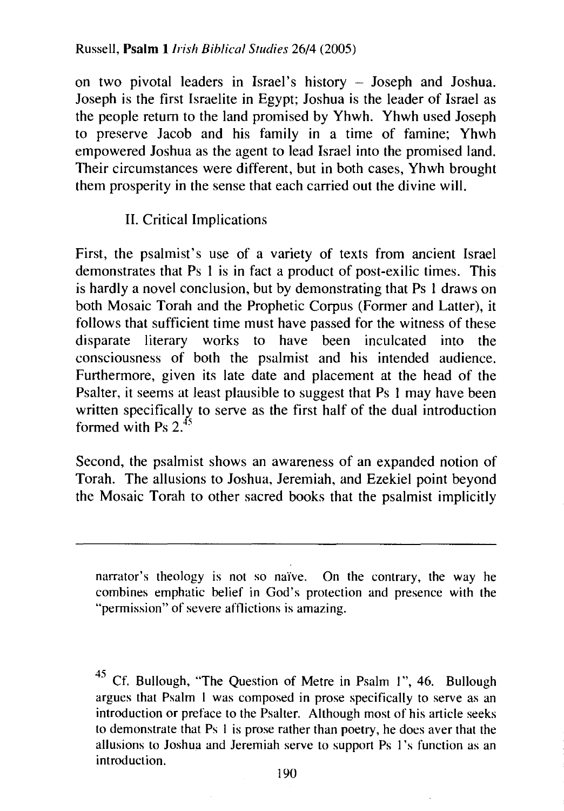on two pivotal leaders in Israel's history - Joseph and Joshua. Joseph is the first Israelite in Egypt; Joshua is the leader of Israel as the people return to the land promised by Yhwh. Yhwh used Joseph to preserve Jacob and his family in a time of famine; Yhwh empowered Joshua as the agent to lead Israel into the promised land. Their circumstances were different, but in both cases, Yhwh brought them prosperity in the sense that each carried out the divine will.

## **11.** Critical Implications

First, the psalmist's use of a variety of texts from ancient Israel demonstrates that Ps 1 is in fact a product of post-exilic times. This is hardly a novel conclusion, but by demonstrating that Ps **1** draws on both Mosaic Torah and the Prophetic Corpus (Former and Latter), it follows that sufficient time must have passed for the witness of these disparate literary works to have been inculcated into the consciousness of both the psalmist and his intended audience. Furthermore, given its late date and placement at the head of the Psalter, it seems at least plausible to suggest that Ps I may have been written specifically to serve as the first half of the dual introduction formed with Ps  $2^{45}$ 

Second, the psalmist shows an awareness of an expanded notion of Torah. The allusions to Joshua, Jeremiah, and Ezekiel point beyond the Mosaic Torah to other sacred books that the psalmist implicitly

narrator's theology is not so naïve. On the contrary, the way he combines emphatic belief in God's protection and presence with the "permission" of severe afflictions is amazing.

Cf. Bullough, "The Question of Metre in Psalm 1", 46. Bullough argues that Psalm 1 was composed in prose specifically to serve as an introduction or preface to the Psalter. Although most of his article seeks to demonstrate that Ps 1 is prose rather than poetry, he does aver that the allusions to Joshua and Jeremiah serve to support Ps 1 's function as an introduction.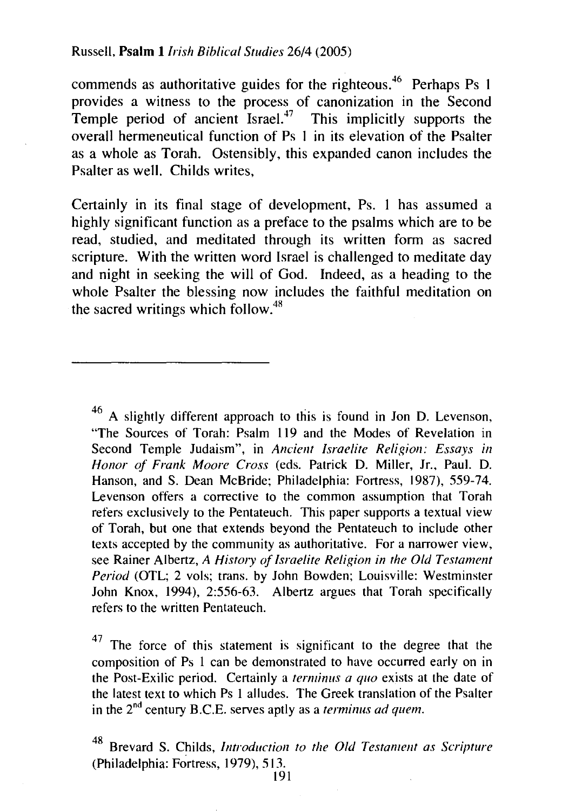commends as authoritative guides for the righteous.<sup>46</sup> Perhaps Ps 1 provides a witness to the process of canonization in the Second Temple period of ancient Israel.<sup>47</sup> This implicitly supports the overall hermeneutical function of Ps I in its elevation of the Psalter as a whole as Torah. Ostensibly, this expanded canon includes the Psalter as well. Childs writes,

Certainly in its final stage of development, Ps. I has assumed a highly significant function as a preface to the psalms which are to be read, studied, and meditated through its written form as sacred scripture. With the written word Israel is challenged to meditate day and night in seeking the will of God. Indeed, as a heading to the whole Psalter the blessing now includes the faithful meditation on the sacred writings which follow. $48$ 

<sup>46</sup> A slightly different approach to this is found in Jon D. Levenson, "The Sources of Torah: Psalm 119 and the Modes of Revelation in Second Temple Judaism", in *Ancient Israelite Religion: Essays in Honor of Frank Moore Cross* (eds. Patrick D. Miller, Jr., Paul. D. Hanson, and S. Dean McBride; Philadelphia: Fortress, 1987), 559-74. Levenson offers a corrective to the common assumption that Torah refers exclusively to the Pentateuch. This paper supports a textual view of Torah, but one that extends beyond the Pentateuch to include other texts accepted by the community as authoritative. For a narrower view, see Rainer Albertz, *A History of Israelite Religion in the Old Testament Period* (OTL; 2 vols; trans. by John Bowden; Louisville: Westminster John Knox, 1994), 2:556-63. Albertz argues that Torah specifically refers to the written Pentateuch.

 $47$  The force of this statement is significant to the degree that the composition of Ps I can be demonstrated to have occurred early on in the Post-Exilic period. Certainly a *terminus a quo* exists at the date of the latest text to which Ps 1 alludes. The Greek translation of the Psalter in the 2<sup>nd</sup> century B.C.E. serves aptly as a *terminus ad quem*.

48 Brevard S. Childs, *Introduction to the Old Testament as Scripture*  (Philadelphia: Fortress, 1979), 513.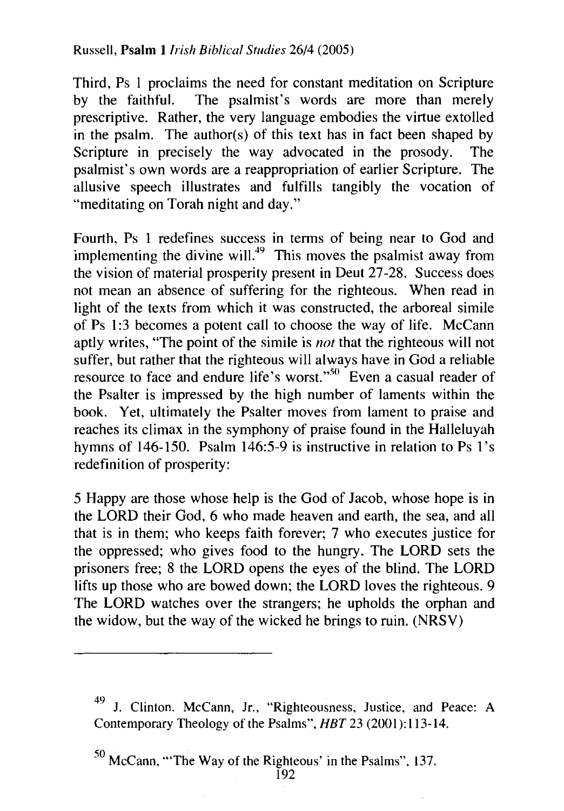Third, Ps 1 proclaims the need for constant meditation on Scripture by the faithful. The psalmist's words are more than merely prescriptive. Rather, the very language embodies the virtue extolled in the psalm. The author(s) of this text has in fact been shaped by Scripture in precisely the way advocated in the prosody. The psalmist's own words are a reappropriation of earlier Scripture. The allusive speech illustrates and fulfills tangibly the vocation of "meditating on Torah night and day."

Fourth, Ps 1 redefines success in terms of being near to God and implementing the divine will.<sup>49</sup> This moves the psalmist away from the vision of material prosperity present in Deut 27-28. Success does not mean an absence of suffering for the righteous. When read in light of the texts from which it was constructed, the arboreal simile of Ps 1:3 becomes a potent call to choose the way of life. McCann aptly writes, "The point of the simile is *not* that the righteous will not suffer, but rather that the righteous will always have in God a reliable resource to face and endure life's worst."<sup>50</sup> Even a casual reader of the Psalter is impressed by the high number of laments within the book. Yet, ultimately the Psalter moves from lament to praise and reaches its climax in the symphony of praise found in the Halleluyah hymns of 146-150. Psalm 146:5-9 is instructive in relation to Ps 1's redefinition of prosperity:

5 Happy are those whose help is the God of Jacob, whose hope is in the LORD their God, 6 who made heaven and earth, the sea, and all that is in them; who keeps faith forever; 7 who executes justice for the oppressed; who gives food to the hungry. The LORD sets the prisoners free; 8 the LORD opens the eyes of the blind. The LORD lifts up those who are bowed down; the LORD loves the righteous. 9 The LORD watches over the strangers; he upholds the orphan and the widow, but the way of the wicked he brings to ruin. (NRSV)

<sup>49</sup> J. Clinton. McCann, Jr., "Righteousness, Justice, and Peace: A Contemporary Theology of the Psalms", *HBT* 23 (2001):113-14.

*<sup>50</sup>*McCann, '"The Way of the Righteous' in the Psalms", 137.